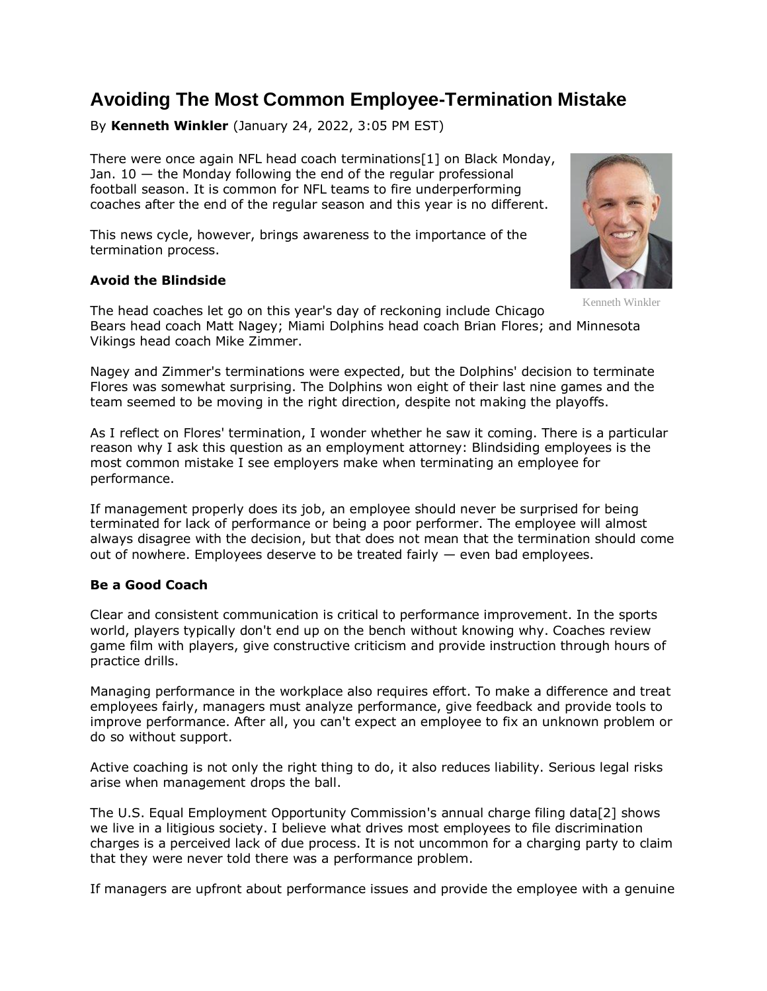# **Avoiding The Most Common Employee-Termination Mistake**

By **Kenneth Winkler** (January 24, 2022, 3:05 PM EST)

There were once again NFL head coach terminations[1] on Black Monday, Jan.  $10 -$  the Monday following the end of the regular professional football season. It is common for NFL teams to fire underperforming coaches after the end of the regular season and this year is no different.

This news cycle, however, brings awareness to the importance of the termination process.

# **Avoid the Blindside**

Kenneth Winkler

The head coaches let go on this year's day of reckoning include [Chicago](https://www.law360.com/companies/chicago-bears)  [Bears](https://www.law360.com/companies/chicago-bears) head coach Matt Nagey; [Miami Dolphins](https://www.law360.com/companies/miami-dolphins) head coach Brian Flores; and [Minnesota](https://www.law360.com/companies/minnesota-vikings-football-llc)  [Vikings](https://www.law360.com/companies/minnesota-vikings-football-llc) head coach Mike Zimmer.

Nagey and Zimmer's terminations were expected, but the Dolphins' decision to terminate Flores was somewhat surprising. The Dolphins won eight of their last nine games and the team seemed to be moving in the right direction, despite not making the playoffs.

As I reflect on Flores' termination, I wonder whether he saw it coming. There is a particular reason why I ask this question as an employment attorney: Blindsiding employees is the most common mistake I see employers make when terminating an employee for performance.

If management properly does its job, an employee should never be surprised for being terminated for lack of performance or being a poor performer. The employee will almost always disagree with the decision, but that does not mean that the termination should come out of nowhere. Employees deserve to be treated fairly  $-$  even bad employees.

### **Be a Good Coach**

Clear and consistent communication is critical to performance improvement. In the sports world, players typically don't end up on the bench without knowing why. Coaches review game film with players, give constructive criticism and provide instruction through hours of practice drills.

Managing performance in the workplace also requires effort. To make a difference and treat employees fairly, managers must analyze performance, give feedback and provide tools to improve performance. After all, you can't expect an employee to fix an unknown problem or do so without support.

Active coaching is not only the right thing to do, it also reduces liability. Serious legal risks arise when management drops the ball.

The [U.S. Equal Employment Opportunity Commission'](https://www.law360.com/agencies/equal-employment-opportunity-commission)s annual charge filing data[2] shows we live in a litigious society. I believe what drives most employees to file discrimination charges is a perceived lack of due process. It is not uncommon for a charging party to claim that they were never told there was a performance problem.

If managers are upfront about performance issues and provide the employee with a genuine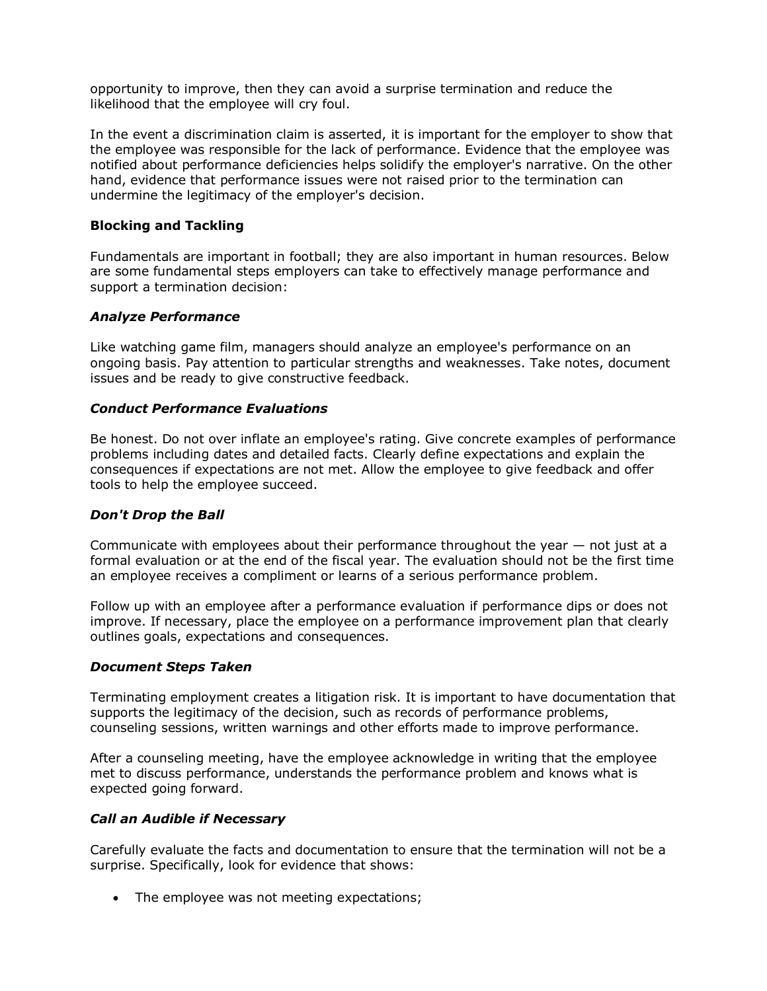opportunity to improve, then they can avoid a surprise termination and reduce the likelihood that the employee will cry foul.

In the event a discrimination claim is asserted, it is important for the employer to show that the employee was responsible for the lack of performance. Evidence that the employee was notified about performance deficiencies helps solidify the employer's narrative. On the other hand, evidence that performance issues were not raised prior to the termination can undermine the legitimacy of the employer's decision.

# **Blocking and Tackling**

Fundamentals are important in football; they are also important in human resources. Below are some fundamental steps employers can take to effectively manage performance and support a termination decision:

### *Analyze Performance*

Like watching game film, managers should analyze an employee's performance on an ongoing basis. Pay attention to particular strengths and weaknesses. Take notes, document issues and be ready to give constructive feedback.

### *Conduct Performance Evaluations*

Be honest. Do not over inflate an employee's rating. Give concrete examples of performance problems including dates and detailed facts. Clearly define expectations and explain the consequences if expectations are not met. Allow the employee to give feedback and offer tools to help the employee succeed.

### *Don't Drop the Ball*

Communicate with employees about their performance throughout the year  $-$  not just at a formal evaluation or at the end of the fiscal year. The evaluation should not be the first time an employee receives a compliment or learns of a serious performance problem.

Follow up with an employee after a performance evaluation if performance dips or does not improve. If necessary, place the employee on a performance improvement plan that clearly outlines goals, expectations and consequences.

### *Document Steps Taken*

Terminating employment creates a litigation risk. It is important to have documentation that supports the legitimacy of the decision, such as records of performance problems, counseling sessions, written warnings and other efforts made to improve performance.

After a counseling meeting, have the employee acknowledge in writing that the employee met to discuss performance, understands the performance problem and knows what is expected going forward.

### *Call an Audible if Necessary*

Carefully evaluate the facts and documentation to ensure that the termination will not be a surprise. Specifically, look for evidence that shows:

• The employee was not meeting expectations;